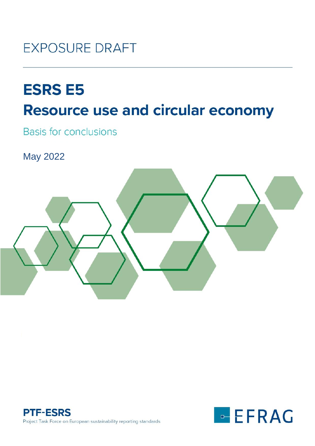

# **ESRS E5 Resource use and circular economy**

**Basis for conclusions** 

May 2022





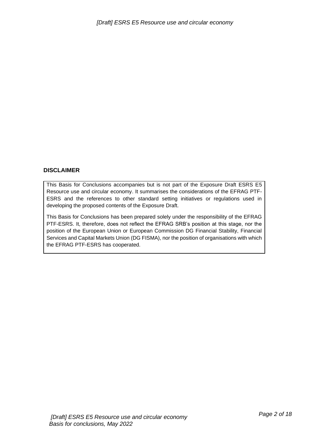#### **DISCLAIMER**

This Basis for Conclusions accompanies but is not part of the Exposure Draft ESRS E5 Resource use and circular economy. It summarises the considerations of the EFRAG PTF-ESRS and the references to other standard setting initiatives or regulations used in developing the proposed contents of the Exposure Draft.

This Basis for Conclusions has been prepared solely under the responsibility of the EFRAG PTF-ESRS. It, therefore, does not reflect the EFRAG SRB's position at this stage, nor the position of the European Union or European Commission DG Financial Stability, Financial Services and Capital Markets Union (DG FISMA), nor the position of organisations with which the EFRAG PTF-ESRS has cooperated.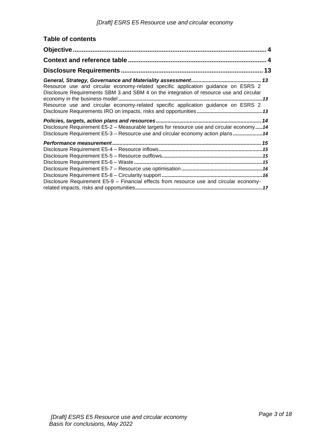| <b>Table of contents</b>                                                                                                                                                                                                                                          |  |
|-------------------------------------------------------------------------------------------------------------------------------------------------------------------------------------------------------------------------------------------------------------------|--|
|                                                                                                                                                                                                                                                                   |  |
|                                                                                                                                                                                                                                                                   |  |
|                                                                                                                                                                                                                                                                   |  |
| Resource use and circular economy-related specific application guidance on ESRS 2<br>Disclosure Requirements SBM 3 and SBM 4 on the integration of resource use and circular<br>Resource use and circular economy-related specific application guidance on ESRS 2 |  |
| Disclosure Requirement E5-2 - Measurable targets for resource use and circular economy14<br>Disclosure Requirement E5-3 - Resource use and circular economy action plans14                                                                                        |  |
| Disclosure Requirement E5-9 - Financial effects from resource use and circular economy-                                                                                                                                                                           |  |
|                                                                                                                                                                                                                                                                   |  |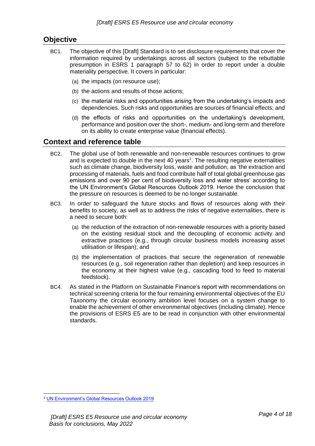# <span id="page-3-0"></span>**Objective**

- BC1. The objective of this [Draft] Standard is to set disclosure requirements that cover the information required by undertakings across all sectors (subject to the rebuttable presumption in ESRS 1 paragraph 57 to 62) in order to report under a double materiality perspective. It covers in particular:
	- (a) the impacts (on resource use);
	- (b) the actions and results of those actions;
	- (c) the material risks and opportunities arising from the undertaking's impacts and dependencies. Such risks and opportunities are sources of financial effects; and
	- (d) the effects of risks and opportunities on the undertaking's development, performance and position over the short-, medium- and long-term and therefore on its ability to create enterprise value (financial effects).

# <span id="page-3-1"></span>**Context and reference table**

- BC2. The global use of both renewable and non-renewable resources continues to grow and is expected to double in the next 40 years<sup>1</sup>. The resulting negative externalities such as climate change, biodiversity loss, waste and pollution, as 'the extraction and processing of materials, fuels and food contribute half of total global greenhouse gas emissions and over 90 per cent of biodiversity loss and water stress' according to the UN Environment's Global Resources Outlook 2019. Hence the conclusion that the pressure on resources is deemed to be no longer sustainable.
- BC3. In order to safeguard the future stocks and flows of resources along with their benefits to society, as well as to address the risks of negative externalities, there is a need to secure both:
	- (a) the reduction of the extraction of non-renewable resources with a priority based on the existing residual stock and the decoupling of economic activity and extractive practices (e.g., through circular business models increasing asset utilisation or lifespan); and
	- (b) the implementation of practices that secure the regeneration of renewable resources (e.g., soil regeneration rather than depletion) and keep resources in the economy at their highest value (e.g., cascading food to feed to material feedstock).
- BC4. As stated in the Platform on Sustainable Finance's report with recommendations on technical screening criteria for the four remaining environmental objectives of the EU Taxonomy the circular economy ambition level focuses on a system change to enable the achievement of other environmental objectives (including climate). Hence the provisions of ESRS E5 are to be read in conjunction with other environmental standards.

<sup>1</sup> [UN Environment's Global Resources Outlook 2019](https://www.unep.org/news-and-stories/story/were-gobbling-earths-resources-unsustainable-rate)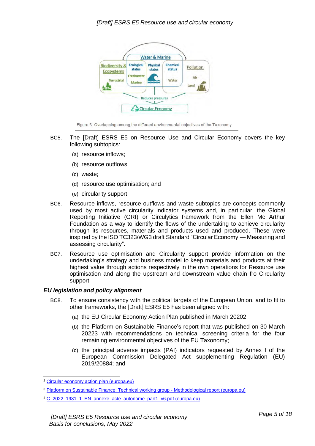

Figure 3: Overlapping among the different environmental objectives of the Taxonomy

- BC5. The [Draft] ESRS E5 on Resource Use and Circular Economy covers the key following subtopics:
	- (a) resource inflows;
	- (b) resource outflows;
	- (c) waste;
	- (d) resource use optimisation; and
	- (e) circularity support.
- BC6. Resource inflows, resource outflows and waste subtopics are concepts commonly used by most active circularity indicator systems and, in particular, the Global Reporting Initiative (GRI) or Circulytics framework from the Ellen Mc Arthur Foundation as a way to identify the flows of the undertaking to achieve circularity through its resources, materials and products used and produced. These were inspired by the ISO TC323/WG3 draft Standard "Circular Economy — Measuring and assessing circularity".
- BC7. Resource use optimisation and Circularity support provide information on the undertaking's strategy and business model to keep materials and products at their highest value through actions respectively in the own operations for Resource use optimisation and along the upstream and downstream value chain fro Circularity support.

#### *EU legislation and policy alignment*

- BC8. To ensure consistency with the political targets of the European Union, and to fit to other frameworks, the [Draft] ESRS E5 has been aligned with:
	- (a) the EU Circular Economy Action Plan published in March 20202;
	- (b) the Platform on Sustainable Finance's report that was published on 30 March 20223 with recommendations on technical screening criteria for the four remaining environmental objectives of the EU Taxonomy;
	- (c) the principal adverse impacts (PAI) indicators requested by Annex I of the European Commission Delegated Act supplementing Regulation (EU) 2019/20884; and

<sup>2</sup> [Circular economy action plan \(europa.eu\)](https://ec.europa.eu/environment/strategy/circular-economy-action-plan_en)

<sup>3</sup> [Platform on Sustainable Finance: Technical working group -](https://ec.europa.eu/info/sites/default/files/business_economy_euro/banking_and_finance/documents/220330-sustainable-finance-platform-finance-report-remaining-environmental-objectives-taxonomy_en.pdf) Methodological report (europa.eu)

<sup>&</sup>lt;sup>4</sup> C 2022 1931 1 EN annexe acte autonome part1 v6.pdf (europa.eu)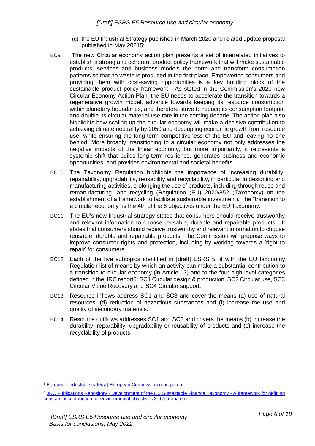- (d) the EU Industrial Strategy published in March 2020 and related update proposal published in May 20215;
- BC9. "The new Circular economy action plan presents a set of interrelated initiatives to establish a strong and coherent product policy framework that will make sustainable products, services and business models the norm and transform consumption patterns so that no waste is produced in the first place. Empowering consumers and providing them with cost-saving opportunities is a key building block of the sustainable product policy framework. As stated in the Commission's 2020 new Circular Economy Action Plan, the EU needs to accelerate the transition towards a regenerative growth model, advance towards keeping its resource consumption within planetary boundaries, and therefore strive to reduce its consumption footprint and double its circular material use rate in the coming decade. The action plan also highlights how scaling up the circular economy will make a decisive contribution to achieving climate neutrality by 2050 and decoupling economic growth from resource use, while ensuring the long-term competitiveness of the EU and leaving no one behind. More broadly, transitioning to a circular economy not only addresses the negative impacts of the linear economy, but more importantly, it represents a systemic shift that builds long-term resilience, generates business and economic opportunities, and provides environmental and societal benefits.
- BC10. The Taxonomy Regulation highlights the importance of increasing durability, repairability, upgradability, reusability and recyclability, in particular in designing and manufacturing activities, prolonging the use of products, including through reuse and remanufacturing, and recycling (Regulation (EU) 2020/852 (Taxonomy) on the establishment of a framework to facilitate sustainable investment). The "transition to a circular economy" is the 4th of the 6 objectives under the EU Taxonomy.
- BC11. The EU's new Industrial strategy states that consumers should receive trustworthy and relevant information to choose reusable, durable and repairable products. It states that consumers should receive trustworthy and relevant information to choose reusable, durable and repairable products. The Commission will propose ways to improve consumer rights and protection, including by working towards a 'right to repair' for consumers.
- BC12. Each of the five subtopics identified in [draft] ESRS 5 fit with the EU taxonomy Regulation list of means by which an activity can make a substantial contribution to a transition to circular economy (in Article 13) and to the four high-level categories defined in the JRC report6: SC1 Circular design & production, SC2 Circular use, SC3 Circular Value Recovery and SC4 Circular support.
- BC13. Resource inflows address SC1 and SC3 and cover the means (a) use of natural resources, (d) reduction of hazardous substances and (f) increase the use and quality of secondary materials.
- BC14. Resource outflows addresses SC1 and SC2 and covers the means (b) increase the durability, reparability, upgradability or reusability of products and (c) increase the recyclability of products.

<sup>5</sup> [European industrial strategy | European Commission \(europa.eu\)](https://ec.europa.eu/info/strategy/priorities-2019-2024/europe-fit-digital-age/european-industrial-strategy_en)

<sup>6</sup> JRC Publications Repository - [Development of the EU Sustainable Finance Taxonomy -](https://publications.jrc.ec.europa.eu/repository/handle/JRC126045) A framework for defining [substantial contribution for environmental objectives 3-6 \(europa.eu\)](https://publications.jrc.ec.europa.eu/repository/handle/JRC126045)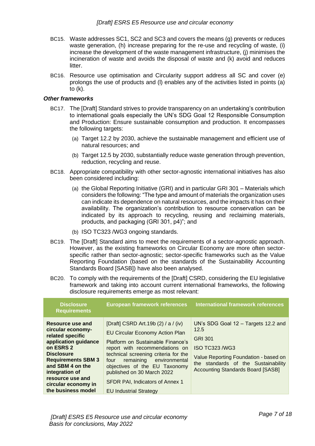- BC15. Waste addresses SC1, SC2 and SC3 and covers the means (g) prevents or reduces waste generation, (h) increase preparing for the re-use and recycling of waste, (i) increase the development of the waste management infrastructure, (j) minimises the incineration of waste and avoids the disposal of waste and (k) avoid and reduces litter.
- BC16. Resource use optimisation and Circularity support address all SC and cover (e) prolongs the use of products and (l) enables any of the activities listed in points (a) to (k).

#### *Other frameworks*

- BC17. The [Draft] Standard strives to provide transparency on an undertaking's contribution to international goals especially the UN's SDG Goal 12 Responsible Consumption and Production: Ensure sustainable consumption and production. It encompasses the following targets:
	- (a) Target 12.2 by 2030, achieve the sustainable management and efficient use of natural resources; and
	- (b) Target 12.5 by 2030, substantially reduce waste generation through prevention, reduction, recycling and reuse.
- BC18. Appropriate compatibility with other sector-agnostic international initiatives has also been considered including:
	- (a) the Global Reporting Initiative (GRI) and in particular GRI 301 Materials which considers the following: "The type and amount of materials the organization uses can indicate its dependence on natural resources, and the impacts it has on their availability. The organization's contribution to resource conservation can be indicated by its approach to recycling, reusing and reclaiming materials, products, and packaging (GRI 301, p4)"; and
	- (b) ISO TC323 /WG3 ongoing standards.
- BC19. The [Draft] Standard aims to meet the requirements of a sector-agnostic approach. However, as the existing frameworks on Circular Economy are more often sectorspecific rather than sector-agnostic; sector-specific frameworks such as the Value Reporting Foundation (based on the standards of the Sustainability Accounting Standards Board [SASB]) have also been analysed.
- BC20. To comply with the requirements of the [Draft] CSRD, considering the EU legislative framework and taking into account current international frameworks, the following disclosure requirements emerge as most relevant:

| <b>Disclosure</b><br><b>Requirements</b>                                                                                                                                                                                                                | <b>European framework references</b>                                                                                                                                                                                                                                                                                                                               | <b>International framework references</b>                                                                                                                                                                   |
|---------------------------------------------------------------------------------------------------------------------------------------------------------------------------------------------------------------------------------------------------------|--------------------------------------------------------------------------------------------------------------------------------------------------------------------------------------------------------------------------------------------------------------------------------------------------------------------------------------------------------------------|-------------------------------------------------------------------------------------------------------------------------------------------------------------------------------------------------------------|
| Resource use and<br>circular economy-<br>related specific<br>application guidance<br>on ESRS 2<br><b>Disclosure</b><br><b>Requirements SBM 3</b><br>and SBM 4 on the<br>integration of<br>resource use and<br>circular economy in<br>the business model | [Draft] CSRD Art.19b (2) / a / (iv)<br><b>EU Circular Economy Action Plan</b><br>Platform on Sustainable Finance's<br>report with recommendations on<br>technical screening criteria for the<br>remaining environmental<br>four<br>objectives of the EU Taxonomy<br>published on 30 March 2022<br>SFDR PAI, Indicators of Annex 1<br><b>EU Industrial Strategy</b> | UN's SDG Goal 12 - Targets 12.2 and<br>12.5<br><b>GRI 301</b><br>ISO TC323 /WG3<br>Value Reporting Foundation - based on<br>the standards of the Sustainability<br><b>Accounting Standards Board [SASB]</b> |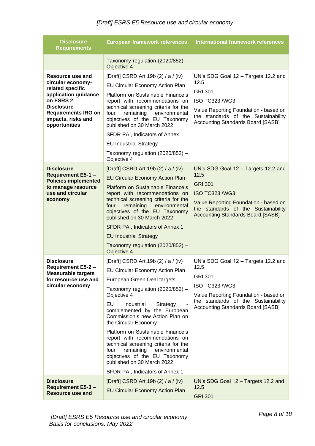| <b>Disclosure</b><br><b>Requirements</b>                                                                                                                                                 | <b>European framework references</b>                                                                                                                                                                                                                                                                                                                                                                                                                                                                                                       | <b>International framework references</b>                                                                                                                                                                          |
|------------------------------------------------------------------------------------------------------------------------------------------------------------------------------------------|--------------------------------------------------------------------------------------------------------------------------------------------------------------------------------------------------------------------------------------------------------------------------------------------------------------------------------------------------------------------------------------------------------------------------------------------------------------------------------------------------------------------------------------------|--------------------------------------------------------------------------------------------------------------------------------------------------------------------------------------------------------------------|
|                                                                                                                                                                                          | Taxonomy regulation (2020/852) -<br>Objective 4                                                                                                                                                                                                                                                                                                                                                                                                                                                                                            |                                                                                                                                                                                                                    |
| Resource use and<br>circular economy-<br>related specific<br>application guidance<br>on ESRS 2<br><b>Disclosure</b><br><b>Requirements IRO on</b><br>impacts, risks and<br>opportunities | [Draft] CSRD Art.19b (2) / a / (iv)<br>EU Circular Economy Action Plan<br>Platform on Sustainable Finance's<br>report with recommendations on<br>technical screening criteria for the<br>four<br>remaining<br>environmental<br>objectives of the EU Taxonomy<br>published on 30 March 2022<br>SFDR PAI, Indicators of Annex 1<br><b>EU Industrial Strategy</b><br>Taxonomy regulation (2020/852) -<br>Objective 4                                                                                                                          | UN's SDG Goal 12 - Targets 12.2 and<br>12.5<br><b>GRI 301</b><br><b>ISO TC323 /WG3</b><br>Value Reporting Foundation - based on<br>the standards of the Sustainability<br><b>Accounting Standards Board [SASB]</b> |
| <b>Disclosure</b><br><b>Requirement E5-1 -</b><br><b>Policies implemented</b><br>to manage resource<br>use and circular<br>economy                                                       | [Draft] CSRD Art.19b (2) / a / (iv)<br><b>EU Circular Economy Action Plan</b><br>Platform on Sustainable Finance's<br>report with recommendations on<br>technical screening criteria for the<br>four<br>remaining<br>environmental<br>objectives of the EU Taxonomy<br>published on 30 March 2022<br>SFDR PAI, Indicators of Annex 1<br><b>EU Industrial Strategy</b><br>Taxonomy regulation (2020/852) -<br>Objective 4                                                                                                                   | UN's SDG Goal 12 - Targets 12.2 and<br>12.5<br><b>GRI 301</b><br><b>ISO TC323 /WG3</b><br>Value Reporting Foundation - based on<br>the standards of the Sustainability<br><b>Accounting Standards Board [SASB]</b> |
| <b>Disclosure</b><br><b>Requirement E5-2 -</b><br><b>Measurable targets</b><br>for resource use and<br>circular economy                                                                  | [Draft] CSRD Art.19b (2) / a / (iv)<br>EU Circular Economy Action Plan<br>European Green Deal targets<br>Taxonomy regulation (2020/852) -<br>Objective 4<br>EU<br>Industrial<br>Strategy<br>complemented by the European<br>Commission's new Action Plan on<br>the Circular Economy<br>Platform on Sustainable Finance's<br>report with recommendations on<br>technical screening criteria for the<br>remaining<br>four<br>environmental<br>objectives of the EU Taxonomy<br>published on 30 March 2022<br>SFDR PAI, Indicators of Annex 1 | UN's SDG Goal 12 - Targets 12.2 and<br>12.5<br><b>GRI 301</b><br><b>ISO TC323 /WG3</b><br>Value Reporting Foundation - based on<br>the standards of the Sustainability<br><b>Accounting Standards Board [SASB]</b> |
| <b>Disclosure</b><br><b>Requirement E5-3 -</b><br>Resource use and                                                                                                                       | [Draft] CSRD Art.19b (2) / a / (iv)<br><b>EU Circular Economy Action Plan</b>                                                                                                                                                                                                                                                                                                                                                                                                                                                              | UN's SDG Goal 12 - Targets 12.2 and<br>12.5<br><b>GRI 301</b>                                                                                                                                                      |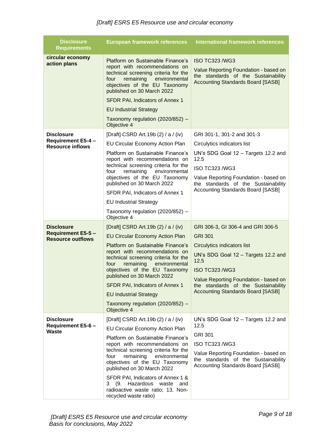| <b>Disclosure</b><br><b>Requirements</b>                                   | <b>European framework references</b>                                                                                                                                                                                                                                                                                                                                                                                       | <b>International framework references</b>                                                                                                                                                                                                                                              |
|----------------------------------------------------------------------------|----------------------------------------------------------------------------------------------------------------------------------------------------------------------------------------------------------------------------------------------------------------------------------------------------------------------------------------------------------------------------------------------------------------------------|----------------------------------------------------------------------------------------------------------------------------------------------------------------------------------------------------------------------------------------------------------------------------------------|
| circular economy<br>action plans                                           | Platform on Sustainable Finance's<br>report with recommendations on<br>technical screening criteria for the<br>remaining<br>environmental<br>four<br>objectives of the EU Taxonomy<br>published on 30 March 2022<br>SFDR PAI, Indicators of Annex 1<br><b>EU Industrial Strategy</b><br>Taxonomy regulation (2020/852) -<br>Objective 4                                                                                    | <b>ISO TC323 /WG3</b><br>Value Reporting Foundation - based on<br>the standards of the Sustainability<br><b>Accounting Standards Board [SASB]</b>                                                                                                                                      |
| <b>Disclosure</b><br><b>Requirement E5-4 -</b><br><b>Resource inflows</b>  | [Draft] CSRD Art.19b (2) / a / (iv)<br><b>EU Circular Economy Action Plan</b><br>Platform on Sustainable Finance's<br>report with recommendations on<br>technical screening criteria for the<br>four<br>remaining environmental<br>objectives of the EU Taxonomy<br>published on 30 March 2022<br>SFDR PAI, Indicators of Annex 1<br><b>EU Industrial Strategy</b><br>Taxonomy regulation (2020/852) -<br>Objective 4      | GRI 301-1, 301-2 and 301-3<br>Circulytics indicators list<br>UN's SDG Goal 12 - Targets 12.2 and<br>12.5<br><b>ISO TC323 /WG3</b><br>Value Reporting Foundation - based on<br>the standards of the Sustainability<br><b>Accounting Standards Board [SASB]</b>                          |
| <b>Disclosure</b><br><b>Requirement E5-5 -</b><br><b>Resource outflows</b> | [Draft] CSRD Art.19b (2) / a / (iv)<br><b>EU Circular Economy Action Plan</b><br>Platform on Sustainable Finance's<br>report with recommendations on<br>technical screening criteria for the<br>four<br>remaining<br>environmental<br>objectives of the EU Taxonomy<br>published on 30 March 2022<br>SFDR PAI, Indicators of Annex 1<br><b>EU Industrial Strategy</b><br>Taxonomy regulation (2020/852) -<br>Objective 4   | GRI 306-3, GI 306-4 and GRI 306-5<br><b>GRI 301</b><br>Circulytics indicators list<br>UN's SDG Goal 12 - Targets 12.2 and<br>12.5<br><b>ISO TC323 /WG3</b><br>Value Reporting Foundation - based on<br>the standards of the Sustainability<br><b>Accounting Standards Board [SASB]</b> |
| <b>Disclosure</b><br>Requirement E5-6 -<br>Waste                           | [Draft] CSRD Art.19b (2) / a / (iv)<br>EU Circular Economy Action Plan<br>Platform on Sustainable Finance's<br>report with recommendations on<br>technical screening criteria for the<br>four<br>remaining<br>environmental<br>objectives of the EU Taxonomy<br>published on 30 March 2022<br>SFDR PAI, Indicators of Annex 1 &<br>3 (9. Hazardous waste and<br>radioactive waste ratio; 13. Non-<br>recycled waste ratio) | UN's SDG Goal 12 - Targets 12.2 and<br>12.5<br><b>GRI 301</b><br>ISO TC323 /WG3<br>Value Reporting Foundation - based on<br>the standards of the Sustainability<br><b>Accounting Standards Board [SASB]</b>                                                                            |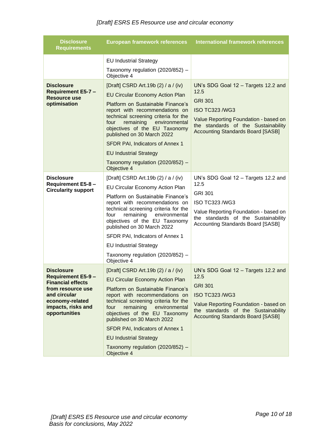| <b>Disclosure</b><br><b>Requirements</b>                                                                                                                                  | <b>European framework references</b>                                                                                                                                                                                                                                                                                                                                                                                                                                                                         | <b>International framework references</b>                                                                                                                                                                          |
|---------------------------------------------------------------------------------------------------------------------------------------------------------------------------|--------------------------------------------------------------------------------------------------------------------------------------------------------------------------------------------------------------------------------------------------------------------------------------------------------------------------------------------------------------------------------------------------------------------------------------------------------------------------------------------------------------|--------------------------------------------------------------------------------------------------------------------------------------------------------------------------------------------------------------------|
| <b>Disclosure</b><br><b>Requirement E5-7 -</b><br><b>Resource use</b><br>optimisation                                                                                     | <b>EU Industrial Strategy</b><br>Taxonomy regulation (2020/852) -<br>Objective 4<br>[Draft] CSRD Art.19b (2) / a / (iv)<br><b>EU Circular Economy Action Plan</b><br>Platform on Sustainable Finance's<br>report with recommendations on<br>technical screening criteria for the<br>four<br>remaining<br>environmental<br>objectives of the EU Taxonomy<br>published on 30 March 2022<br>SFDR PAI, Indicators of Annex 1<br><b>EU Industrial Strategy</b><br>Taxonomy regulation (2020/852) -<br>Objective 4 | UN's SDG Goal 12 - Targets 12.2 and<br>12.5<br><b>GRI 301</b><br><b>ISO TC323 /WG3</b><br>Value Reporting Foundation - based on<br>the standards of the Sustainability<br><b>Accounting Standards Board [SASB]</b> |
| <b>Disclosure</b><br>Requirement E5-8 -<br><b>Circularity support</b>                                                                                                     | [Draft] CSRD Art.19b (2) / a / (iv)<br>EU Circular Economy Action Plan<br>Platform on Sustainable Finance's<br>report with recommendations on<br>technical screening criteria for the<br>remaining<br>environmental<br>four<br>objectives of the EU Taxonomy<br>published on 30 March 2022<br>SFDR PAI, Indicators of Annex 1<br><b>EU Industrial Strategy</b><br>Taxonomy regulation (2020/852) -<br>Objective 4                                                                                            | UN's SDG Goal 12 - Targets 12.2 and<br>12.5<br><b>GRI 301</b><br>ISO TC323 /WG3<br>Value Reporting Foundation - based on<br>the standards of the Sustainability<br><b>Accounting Standards Board [SASB]</b>        |
| <b>Disclosure</b><br><b>Requirement E5-9 -</b><br><b>Financial effects</b><br>from resource use<br>and circular<br>economy-related<br>impacts, risks and<br>opportunities | [Draft] CSRD Art.19b (2) / a / (iv)<br><b>EU Circular Economy Action Plan</b><br>Platform on Sustainable Finance's<br>report with recommendations on<br>technical screening criteria for the<br>remaining<br>environmental<br>four<br>objectives of the EU Taxonomy<br>published on 30 March 2022<br>SFDR PAI, Indicators of Annex 1<br><b>EU Industrial Strategy</b><br>Taxonomy regulation (2020/852) -<br>Objective 4                                                                                     | UN's SDG Goal 12 - Targets 12.2 and<br>12.5<br><b>GRI 301</b><br><b>ISO TC323 /WG3</b><br>Value Reporting Foundation - based on<br>the standards of the Sustainability<br><b>Accounting Standards Board [SASB]</b> |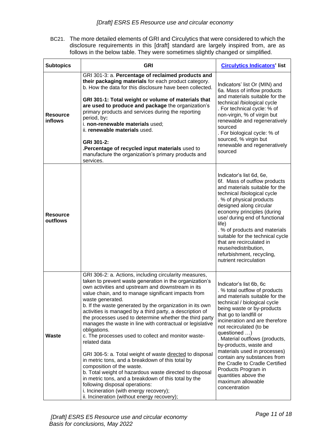BC21. The more detailed elements of GRI and Circulytics that were considered to which the disclosure requirements in this [draft] standard are largely inspired from, are as follows in the below table. They were sometimes slightly changed or simplified.

| <b>Subtopics</b>                  | <b>GRI</b>                                                                                                                                                                                                                                                                                                                                                                                                                                                                                                                                                                                                                                                                                                                                                                                                                                                                                                                                                                           | <b>Circulytics Indicators' list</b>                                                                                                                                                                                                                                                                                                                                                                                                                                                                               |
|-----------------------------------|--------------------------------------------------------------------------------------------------------------------------------------------------------------------------------------------------------------------------------------------------------------------------------------------------------------------------------------------------------------------------------------------------------------------------------------------------------------------------------------------------------------------------------------------------------------------------------------------------------------------------------------------------------------------------------------------------------------------------------------------------------------------------------------------------------------------------------------------------------------------------------------------------------------------------------------------------------------------------------------|-------------------------------------------------------------------------------------------------------------------------------------------------------------------------------------------------------------------------------------------------------------------------------------------------------------------------------------------------------------------------------------------------------------------------------------------------------------------------------------------------------------------|
| <b>Resource</b><br><b>inflows</b> | GRI 301-3: a. Percentage of reclaimed products and<br>their packaging materials for each product category.<br>b. How the data for this disclosure have been collected.<br>GRI 301-1: Total weight or volume of materials that<br>are used to produce and package the organization's<br>primary products and services during the reporting<br>period, by:<br>i. non-renewable materials used;<br>ii. renewable materials used.<br>GRI 301-2:<br>.Percentage of recycled input materials used to<br>manufacture the organization's primary products and<br>services.                                                                                                                                                                                                                                                                                                                                                                                                                   | Indicators' list Or (MIN) and<br>6a. Mass of inflow products<br>and materials suitable for the<br>technical /biological cycle<br>. For technical cycle: % of<br>non-virgin, % of virgin but<br>renewable and regeneratively<br>sourced<br>. For biological cycle: % of<br>sourced, % virgin but<br>renewable and regeneratively<br>sourced                                                                                                                                                                        |
| <b>Resource</b><br>outflows       |                                                                                                                                                                                                                                                                                                                                                                                                                                                                                                                                                                                                                                                                                                                                                                                                                                                                                                                                                                                      | Indicator's list 6d, 6e,<br>6f. Mass of outflow products<br>and materials suitable for the<br>technical /biological cycle<br>. % of physical products<br>designed along circular<br>economy principles (during<br>use/ during end of functional<br>life)<br>. % of products and materials<br>suitable for the technical cycle<br>that are recirculated in<br>reuse/redistribution,<br>refurbishment, recycling,<br>nutrient recirculation                                                                         |
| <b>Waste</b>                      | GRI 306-2: a. Actions, including circularity measures,<br>taken to prevent waste generation in the organization's<br>own activities and upstream and downstream in its<br>value chain, and to manage significant impacts from<br>waste generated.<br>b. If the waste generated by the organization in its own<br>activities is managed by a third party, a description of<br>the processes used to determine whether the third party<br>manages the waste in line with contractual or legislative<br>obligations.<br>c. The processes used to collect and monitor waste-<br>related data<br>GRI 306-5: a. Total weight of waste directed to disposal<br>in metric tons, and a breakdown of this total by<br>composition of the waste.<br>b. Total weight of hazardous waste directed to disposal<br>in metric tons, and a breakdown of this total by the<br>following disposal operations:<br>i. Incineration (with energy recovery);<br>ii. Incineration (without energy recovery); | Indicator's list 6b, 6c<br>. % total outflow of products<br>and materials suitable for the<br>technical / biological cycle<br>being waste or by-products<br>that go to landfill or<br>incineration and are therefore<br>not recirculated (to be<br>questioned )<br>. Material outflows (products,<br>by-products, waste and<br>materials used in processes)<br>contain any substances from<br>the Cradle to Cradle Certified<br>Products Program in<br>quantities above the<br>maximum allowable<br>concentration |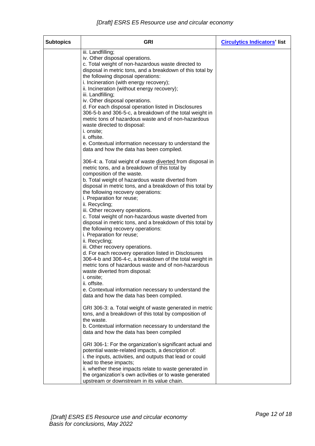| <b>Subtopics</b> | <b>GRI</b>                                                                                                                                                                                                                                                                                                                                                                                                                                                                                                                                                                                                                                                                                                                                                                                                                                                                                                                                                                         | <b>Circulytics Indicators' list</b> |
|------------------|------------------------------------------------------------------------------------------------------------------------------------------------------------------------------------------------------------------------------------------------------------------------------------------------------------------------------------------------------------------------------------------------------------------------------------------------------------------------------------------------------------------------------------------------------------------------------------------------------------------------------------------------------------------------------------------------------------------------------------------------------------------------------------------------------------------------------------------------------------------------------------------------------------------------------------------------------------------------------------|-------------------------------------|
|                  | iii. Landfilling;<br>iv. Other disposal operations.<br>c. Total weight of non-hazardous waste directed to<br>disposal in metric tons, and a breakdown of this total by<br>the following disposal operations:<br>i. Incineration (with energy recovery);<br>ii. Incineration (without energy recovery);<br>iii. Landfilling;<br>iv. Other disposal operations.<br>d. For each disposal operation listed in Disclosures<br>306-5-b and 306-5-c, a breakdown of the total weight in<br>metric tons of hazardous waste and of non-hazardous<br>waste directed to disposal:<br>i. onsite;                                                                                                                                                                                                                                                                                                                                                                                               |                                     |
|                  | ii. offsite.<br>e. Contextual information necessary to understand the<br>data and how the data has been compiled.                                                                                                                                                                                                                                                                                                                                                                                                                                                                                                                                                                                                                                                                                                                                                                                                                                                                  |                                     |
|                  | 306-4: a. Total weight of waste diverted from disposal in<br>metric tons, and a breakdown of this total by<br>composition of the waste.<br>b. Total weight of hazardous waste diverted from<br>disposal in metric tons, and a breakdown of this total by<br>the following recovery operations:<br>i. Preparation for reuse;<br>ii. Recycling;<br>iii. Other recovery operations.<br>c. Total weight of non-hazardous waste diverted from<br>disposal in metric tons, and a breakdown of this total by<br>the following recovery operations:<br>i. Preparation for reuse;<br>ii. Recycling;<br>iii. Other recovery operations.<br>d. For each recovery operation listed in Disclosures<br>306-4-b and 306-4-c, a breakdown of the total weight in<br>metric tons of hazardous waste and of non-hazardous<br>waste diverted from disposal:<br><i>i.</i> onsite;<br>ii. offsite.<br>e. Contextual information necessary to understand the<br>data and how the data has been compiled. |                                     |
|                  | GRI 306-3: a. Total weight of waste generated in metric<br>tons, and a breakdown of this total by composition of<br>the waste.<br>b. Contextual information necessary to understand the<br>data and how the data has been compiled                                                                                                                                                                                                                                                                                                                                                                                                                                                                                                                                                                                                                                                                                                                                                 |                                     |
|                  | GRI 306-1: For the organization's significant actual and<br>potential waste-related impacts, a description of:<br>i. the inputs, activities, and outputs that lead or could<br>lead to these impacts;<br>ii. whether these impacts relate to waste generated in<br>the organization's own activities or to waste generated<br>upstream or downstream in its value chain.                                                                                                                                                                                                                                                                                                                                                                                                                                                                                                                                                                                                           |                                     |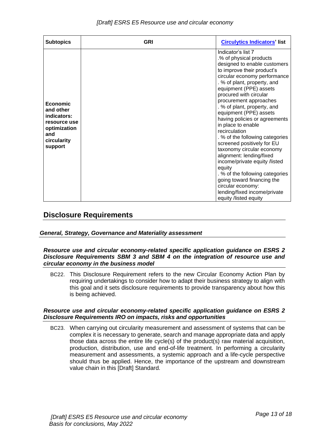| <b>Subtopics</b>                                                                                      | <b>GRI</b> | <b>Circulytics Indicators' list</b>                                                                                                                                                                                                                                                                                                                                                                                                                                                                                                                                                                                                                                                                           |
|-------------------------------------------------------------------------------------------------------|------------|---------------------------------------------------------------------------------------------------------------------------------------------------------------------------------------------------------------------------------------------------------------------------------------------------------------------------------------------------------------------------------------------------------------------------------------------------------------------------------------------------------------------------------------------------------------------------------------------------------------------------------------------------------------------------------------------------------------|
| Economic<br>and other<br>indicators:<br>resource use<br>optimization<br>and<br>circularity<br>support |            | Indicator's list 7<br>.% of physical products<br>designed to enable customers<br>to improve their product's<br>circular economy performance<br>. % of plant, property, and<br>equipment (PPE) assets<br>procured with circular<br>procurement approaches<br>. % of plant, property, and<br>equipment (PPE) assets<br>having policies or agreements<br>in place to enable<br>recirculation<br>. % of the following categories<br>screened positively for EU<br>taxonomy circular economy<br>alignment: lending/fixed<br>income/private equity /listed<br>equity<br>. % of the following categories<br>going toward financing the<br>circular economy:<br>lending/fixed income/private<br>equity /listed equity |

# <span id="page-12-0"></span>**Disclosure Requirements**

### <span id="page-12-2"></span><span id="page-12-1"></span>*General, Strategy, Governance and Materiality assessment*

#### *Resource use and circular economy-related specific application guidance on ESRS 2 Disclosure Requirements SBM 3 and SBM 4 on the integration of resource use and circular economy in the business model*

BC22. This Disclosure Requirement refers to the new Circular Economy Action Plan by requiring undertakings to consider how to adapt their business strategy to align with this goal and it sets disclosure requirements to provide transparency about how this is being achieved.

#### <span id="page-12-3"></span>*Resource use and circular economy-related specific application guidance on ESRS 2 Disclosure Requirements IRO on impacts, risks and opportunities*

BC23. When carrying out circularity measurement and assessment of systems that can be complex it is necessary to generate, search and manage appropriate data and apply those data across the entire life cycle(s) of the product(s) raw material acquisition, production, distribution, use and end-of-life treatment. In performing a circularity measurement and assessments, a systemic approach and a life-cycle perspective should thus be applied. Hence, the importance of the upstream and downstream value chain in this [Draft] Standard.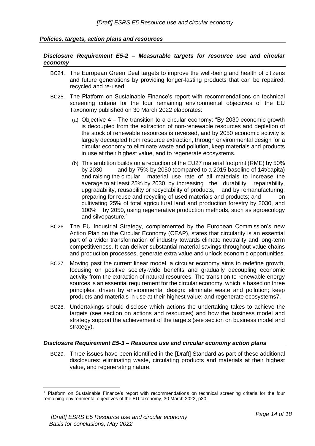#### <span id="page-13-1"></span><span id="page-13-0"></span>*Policies, targets, action plans and resources*

#### *Disclosure Requirement E5-2 – Measurable targets for resource use and circular economy*

- BC24. The European Green Deal targets to improve the well-being and health of citizens and future generations by providing longer-lasting products that can be repaired, recycled and re-used.
- BC25. The Platform on Sustainable Finance's report with recommendations on technical screening criteria for the four remaining environmental objectives of the EU Taxonomy published on 30 March 2022 elaborates:
	- (a) Objective 4 The transition to a circular economy: "By 2030 economic growth is decoupled from the extraction of non-renewable resources and depletion of the stock of renewable resources is reversed, and by 2050 economic activity is largely decoupled from resource extraction, through environmental design for a circular economy to eliminate waste and pollution, keep materials and products in use at their highest value, and to regenerate ecosystems.
	- (b) This ambition builds on a reduction of the EU27 material footprint (RME) by 50% by 2030 and by 75% by 2050 (compared to a 2015 baseline of 14t/capita) and raising the circular material use rate of all materials to increase the average to at least 25% by 2030, by increasing the durability, repairability, upgradability, reusability or recyclability of products, and by remanufacturing, preparing for reuse and recycling of used materials and products; and on cultivating 25% of total agricultural land and production forestry by 2030, and 100% by 2050, using regenerative production methods, such as agroecology and silvopasture."
- BC26. The EU Industrial Strategy, complemented by the European Commission's new Action Plan on the Circular Economy (CEAP), states that circularity is an essential part of a wider transformation of industry towards climate neutrality and long-term competitiveness. It can deliver substantial material savings throughout value chains and production processes, generate extra value and unlock economic opportunities.
- BC27. Moving past the current linear model, a circular economy aims to redefine growth, focusing on positive society-wide benefits and gradually decoupling economic activity from the extraction of natural resources. The transition to renewable energy sources is an essential requirement for the circular economy, which is based on three principles, driven by environmental design: eliminate waste and pollution; keep products and materials in use at their highest value; and regenerate ecosystems7.
- BC28. Undertakings should disclose which actions the undertaking takes to achieve the targets (see section on actions and resources) and how the business model and strategy support the achievement of the targets (see section on business model and strategy).

#### <span id="page-13-2"></span>*Disclosure Requirement E5-3 – Resource use and circular economy action plans*

BC29. Three issues have been identified in the [Draft] Standard as part of these additional disclosures: eliminating waste, circulating products and materials at their highest value, and regenerating nature.

Platform on Sustainable Finance's report with recommendations on technical screening criteria for the four remaining environmental objectives of the EU taxonomy, 30 March 2022, p30.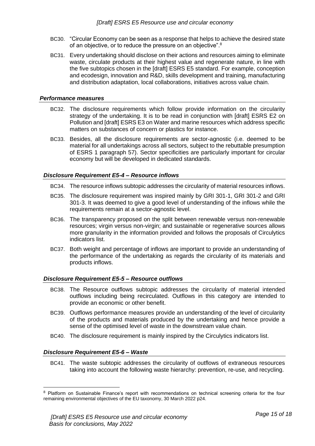- BC30. "Circular Economy can be seen as a response that helps to achieve the desired state of an objective, or to reduce the pressure on an objective". $^{\rm 8}$
- BC31. Every undertaking should disclose on their actions and resources aiming to eliminate waste, circulate products at their highest value and regenerate nature, in line with the five subtopics chosen in the [draft] ESRS E5 standard. For example, conception and ecodesign, innovation and R&D, skills development and training, manufacturing and distribution adaptation, local collaborations, initiatives across value chain.

#### <span id="page-14-0"></span>*Performance measures*

- BC32. The disclosure requirements which follow provide information on the circularity strategy of the undertaking. It is to be read in conjunction with [draft] ESRS E2 on Pollution and [draft] ESRS E3 on Water and marine resources which address specific matters on substances of concern or plastics for instance.
- BC33. Besides, all the disclosure requirements are sector-agnostic (i.e. deemed to be material for all undertakings across all sectors, subject to the rebuttable presumption of ESRS 1 paragraph 57). Sector specificities are particularly important for circular economy but will be developed in dedicated standards.

#### <span id="page-14-1"></span>*Disclosure Requirement E5-4 – Resource inflows*

- BC34. The resource inflows subtopic addresses the circularity of material resources inflows.
- BC35. The disclosure requirement was inspired mainly by GRI 301-1, GRI 301-2 and GRI 301-3. It was deemed to give a good level of understanding of the inflows while the requirements remain at a sector-agnostic level.
- BC36. The transparency proposed on the split between renewable versus non-renewable resources; virgin versus non-virgin; and sustainable or regenerative sources allows more granularity in the information provided and follows the proposals of Circulytics indicators list.
- BC37. Both weight and percentage of inflows are important to provide an understanding of the performance of the undertaking as regards the circularity of its materials and products inflows.

#### <span id="page-14-2"></span>*Disclosure Requirement E5-5 – Resource outflows*

- BC38. The Resource outflows subtopic addresses the circularity of material intended outflows including being recirculated. Outflows in this category are intended to provide an economic or other benefit.
- BC39. Outflows performance measures provide an understanding of the level of circularity of the products and materials produced by the undertaking and hence provide a sense of the optimised level of waste in the downstream value chain.
- BC40. The disclosure requirement is mainly inspired by the Circulytics indicators list.

#### <span id="page-14-3"></span>*Disclosure Requirement E5-6 – Waste*

BC41. The waste subtopic addresses the circularity of outflows of extraneous resources taking into account the following waste hierarchy: prevention, re-use, and recycling.

<sup>&</sup>lt;sup>8</sup> Platform on Sustainable Finance's report with recommendations on technical screening criteria for the four remaining environmental objectives of the EU taxonomy, 30 March 2022 p24.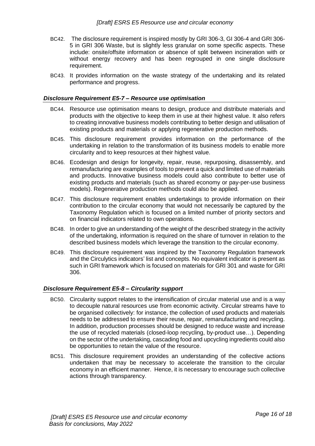- BC42. The disclosure requirement is inspired mostly by GRI 306-3, GI 306-4 and GRI 306- 5 in GRI 306 Waste, but is slightly less granular on some specific aspects. These include: onsite/offsite information or absence of split between incineration with or without energy recovery and has been regrouped in one single disclosure requirement.
- BC43. It provides information on the waste strategy of the undertaking and its related performance and progress.

#### <span id="page-15-0"></span>*Disclosure Requirement E5-7 – Resource use optimisation*

- BC44. Resource use optimisation means to design, produce and distribute materials and products with the objective to keep them in use at their highest value. It also refers to creating innovative business models contributing to better design and utilisation of existing products and materials or applying regenerative production methods.
- BC45. This disclosure requirement provides information on the performance of the undertaking in relation to the transformation of its business models to enable more circularity and to keep resources at their highest value.
- BC46. Ecodesign and design for longevity, repair, reuse, repurposing, disassembly, and remanufacturing are examples of tools to prevent a quick and limited use of materials and products. Innovative business models could also contribute to better use of existing products and materials (such as shared economy or pay-per-use business models). Regenerative production methods could also be applied.
- BC47. This disclosure requirement enables undertakings to provide information on their contribution to the circular economy that would not necessarily be captured by the Taxonomy Regulation which is focused on a limited number of priority sectors and on financial indicators related to own operations.
- BC48. In order to give an understanding of the weight of the described strategy in the activity of the undertaking, information is required on the share of turnover in relation to the described business models which leverage the transition to the circular economy.
- BC49. This disclosure requirement was inspired by the Taxonomy Regulation framework and the Circulytics indicators' list and concepts. No equivalent indicator is present as such in GRI framework which is focused on materials for GRI 301 and waste for GRI 306.

#### <span id="page-15-1"></span>*Disclosure Requirement E5-8 – Circularity support*

- BC50. Circularity support relates to the intensification of circular material use and is a way to decouple natural resources use from economic activity. Circular streams have to be organised collectively: for instance, the collection of used products and materials needs to be addressed to ensure their reuse, repair, remanufacturing and recycling. In addition, production processes should be designed to reduce waste and increase the use of recycled materials (closed-loop recycling, by-product use…). Depending on the sector of the undertaking, cascading food and upcycling ingredients could also be opportunities to retain the value of the resource.
- BC51. This disclosure requirement provides an understanding of the collective actions undertaken that may be necessary to accelerate the transition to the circular economy in an efficient manner. Hence, it is necessary to encourage such collective actions through transparency.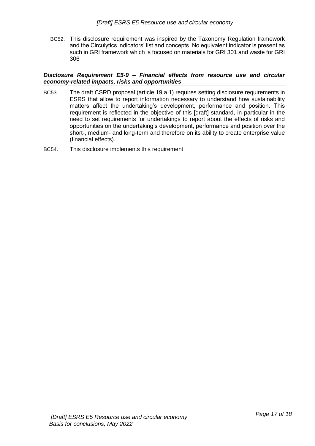BC52. This disclosure requirement was inspired by the Taxonomy Regulation framework and the Circulytics indicators' list and concepts. No equivalent indicator is present as such in GRI framework which is focused on materials for GRI 301 and waste for GRI 306

#### <span id="page-16-0"></span>*Disclosure Requirement E5-9 – Financial effects from resource use and circular economy-related impacts, risks and opportunities*

- BC53. The draft CSRD proposal (article 19 a 1) requires setting disclosure requirements in ESRS that allow to report information necessary to understand how sustainability matters affect the undertaking's development, performance and position. This requirement is reflected in the objective of this [draft] standard, in particular in the need to set requirements for undertakings to report about the effects of risks and opportunities on the undertaking's development, performance and position over the short-, medium- and long-term and therefore on its ability to create enterprise value (financial effects).
- BC54. This disclosure implements this requirement.